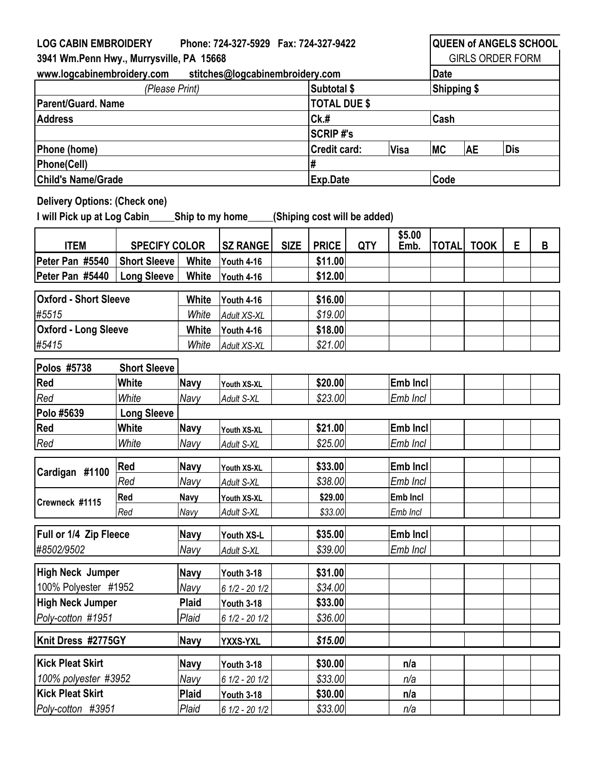| <b>LOG CABIN EMBROIDERY</b><br>Phone: 724-327-5929  Fax: 724-327-9422                                                               |                      |                   |                   |                             |                     |            | <b>QUEEN of ANGELS SCHOOL</b> |              |             |   |   |  |
|-------------------------------------------------------------------------------------------------------------------------------------|----------------------|-------------------|-------------------|-----------------------------|---------------------|------------|-------------------------------|--------------|-------------|---|---|--|
| 3941 Wm.Penn Hwy., Murrysville, PA 15668                                                                                            |                      |                   |                   |                             |                     |            | <b>GIRLS ORDER FORM</b>       |              |             |   |   |  |
| www.logcabinembroidery.com<br>stitches@logcabinembroidery.com                                                                       |                      |                   |                   |                             |                     |            |                               | <b>Date</b>  |             |   |   |  |
| (Please Print)                                                                                                                      |                      |                   |                   |                             | Subtotal \$         |            |                               | Shipping \$  |             |   |   |  |
| Parent/Guard. Name                                                                                                                  |                      |                   |                   |                             | <b>TOTAL DUE \$</b> |            |                               |              |             |   |   |  |
| <b>Address</b>                                                                                                                      |                      |                   |                   |                             | CK.#                |            |                               | Cash         |             |   |   |  |
|                                                                                                                                     |                      |                   |                   |                             | <b>SCRIP#'s</b>     |            |                               |              |             |   |   |  |
| Phone (home)                                                                                                                        |                      |                   |                   | <b>Credit card:</b><br>Visa |                     |            | <b>MC</b>                     | AE           | <b>Dis</b>  |   |   |  |
| <b>Phone(Cell)</b>                                                                                                                  |                      |                   |                   |                             | #                   |            |                               |              |             |   |   |  |
| <b>Child's Name/Grade</b>                                                                                                           |                      |                   |                   | <b>Exp.Date</b>             |                     |            | Code                          |              |             |   |   |  |
| <b>Delivery Options: (Check one)</b><br>I will Pick up at Log Cabin________ Ship to my home________<br>(Shiping cost will be added) |                      |                   |                   |                             |                     |            |                               |              |             |   |   |  |
| <b>ITEM</b>                                                                                                                         | <b>SPECIFY COLOR</b> |                   | <b>SZ RANGE</b>   | <b>SIZE</b>                 | <b>PRICE</b>        | <b>QTY</b> | \$5.00<br>Emb.                | <b>TOTAL</b> | <b>TOOK</b> | E | B |  |
| Peter Pan #5540                                                                                                                     | <b>Short Sleeve</b>  | White             | <b>Youth 4-16</b> |                             | \$11.00             |            |                               |              |             |   |   |  |
| Peter Pan #5440                                                                                                                     | <b>Long Sleeve</b>   | White             | <b>Youth 4-16</b> |                             | \$12.00             |            |                               |              |             |   |   |  |
| <b>Oxford - Short Sleeve</b>                                                                                                        | <b>White</b>         | <b>Youth 4-16</b> |                   | \$16.00                     |                     |            |                               |              |             |   |   |  |
| #5515                                                                                                                               |                      | White             | Adult XS-XL       |                             | \$19.00             |            |                               |              |             |   |   |  |
| <b>Oxford - Long Sleeve</b>                                                                                                         |                      | White             | Youth 4-16        |                             | \$18.00             |            |                               |              |             |   |   |  |
| #5415                                                                                                                               |                      | White             | Adult XS-XL       |                             | \$21.00             |            |                               |              |             |   |   |  |
|                                                                                                                                     |                      |                   |                   |                             |                     |            |                               |              |             |   |   |  |
| Polos #5738                                                                                                                         | <b>Short Sleeve</b>  |                   |                   |                             |                     |            |                               |              |             |   |   |  |
| Red                                                                                                                                 | White                | <b>Navy</b>       | Youth XS-XL       |                             | \$20.00             |            | <b>Emb Incl</b>               |              |             |   |   |  |
| Red                                                                                                                                 | White                | Navy              | Adult S-XL        |                             | \$23.00             |            | Emb Incl                      |              |             |   |   |  |
| Polo #5639                                                                                                                          | <b>Long Sleeve</b>   |                   |                   |                             |                     |            |                               |              |             |   |   |  |
| Red                                                                                                                                 | White                | <b>Navy</b>       | Youth XS-XL       |                             | \$21.00             |            | <b>Emb Incl</b>               |              |             |   |   |  |
| Red                                                                                                                                 | White                | Navy              | Adult S-XL        |                             | \$25.00             |            | Emb Incl                      |              |             |   |   |  |
| Cardigan #1100                                                                                                                      | Red                  | Navy              | Youth XS-XL       |                             | \$33.00             |            | <b>Emb Incl</b>               |              |             |   |   |  |
|                                                                                                                                     | Red                  | Navy              | Adult S-XL        |                             | \$38.00             |            | Emb Incl                      |              |             |   |   |  |
| Crewneck #1115                                                                                                                      | Red                  | <b>Navy</b>       | Youth XS-XL       |                             | \$29.00             |            | Emb Incl                      |              |             |   |   |  |
|                                                                                                                                     | Red                  | Navy              | Adult S-XL        |                             | \$33.00             |            | Emb Incl                      |              |             |   |   |  |
| Full or 1/4 Zip Fleece                                                                                                              |                      | <b>Navy</b>       | Youth XS-L        |                             | \$35.00             |            | Emb Incl                      |              |             |   |   |  |
| #8502/9502                                                                                                                          |                      | Navy              | Adult S-XL        |                             | \$39.00             |            | Emb Incl                      |              |             |   |   |  |
|                                                                                                                                     |                      |                   |                   |                             |                     |            |                               |              |             |   |   |  |
| High Neck Jumper                                                                                                                    |                      | Navy              | <b>Youth 3-18</b> |                             | \$31.00             |            |                               |              |             |   |   |  |
| 100% Polyester #1952                                                                                                                |                      | Navy              | $61/2 - 201/2$    |                             | \$34.00             |            |                               |              |             |   |   |  |
| <b>High Neck Jumper</b>                                                                                                             |                      | <b>Plaid</b>      | <b>Youth 3-18</b> |                             | \$33.00             |            |                               |              |             |   |   |  |
| Poly-cotton #1951                                                                                                                   |                      | Plaid             | $61/2 - 201/2$    |                             | \$36.00             |            |                               |              |             |   |   |  |
| Knit Dress #2775GY                                                                                                                  |                      | <b>Navy</b>       | YXXS-YXL          |                             | \$15.00             |            |                               |              |             |   |   |  |
| Kick Pleat Skirt                                                                                                                    |                      | <b>Navy</b>       | <b>Youth 3-18</b> |                             | \$30.00             |            | n/a                           |              |             |   |   |  |
| 100% polyester #3952                                                                                                                |                      | Navy              | $61/2 - 201/2$    |                             | \$33.00             |            | n/a                           |              |             |   |   |  |
| <b>Kick Pleat Skirt</b>                                                                                                             |                      | <b>Plaid</b>      | <b>Youth 3-18</b> |                             | \$30.00             |            | n/a                           |              |             |   |   |  |
| Poly-cotton #3951                                                                                                                   |                      | Plaid             | $61/2 - 201/2$    |                             | \$33.00             |            | n/a                           |              |             |   |   |  |